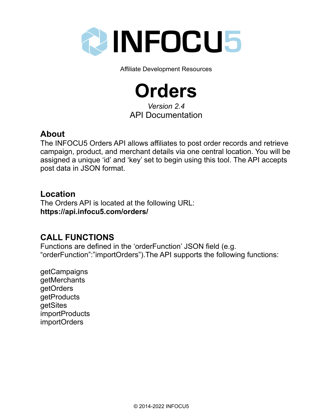

Affiliate Development Resources

**Orders** *Version 2.4* API Documentation

## **About**

The INFOCU5 Orders API allows affiliates to post order records and retrieve campaign, product, and merchant details via one central location. You will be assigned a unique 'id' and 'key' set to begin using this tool. The API accepts post data in JSON format.

## **Location**

The Orders API is located at the following URL: **https://api.infocu5.com/orders/**

# **CALL FUNCTIONS**

Functions are defined in the 'orderFunction' JSON field (e.g. "orderFunction":"importOrders").The API supports the following functions:

getCampaigns getMerchants getOrders **getProducts** getSites importProducts importOrders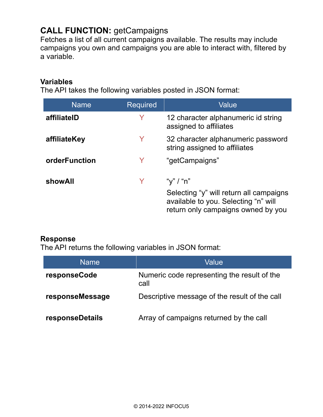# **CALL FUNCTION:** getCampaigns

Fetches a list of all current campaigns available. The results may include campaigns you own and campaigns you are able to interact with, filtered by a variable.

#### **Variables**

The API takes the following variables posted in JSON format:

| <b>Name</b>   | <b>Required</b> | Value                                                                                                                              |
|---------------|-----------------|------------------------------------------------------------------------------------------------------------------------------------|
| affiliateID   | Y               | 12 character alphanumeric id string<br>assigned to affiliates                                                                      |
| affiliateKey  | Y               | 32 character alphanumeric password<br>string assigned to affiliates                                                                |
| orderFunction | Y               | "getCampaigns"                                                                                                                     |
| showAll       |                 | "y" / "n"<br>Selecting "y" will return all campaigns<br>available to you. Selecting "n" will<br>return only campaigns owned by you |

#### **Response**

| Name            | Value                                               |
|-----------------|-----------------------------------------------------|
| responseCode    | Numeric code representing the result of the<br>call |
| responseMessage | Descriptive message of the result of the call       |
| responseDetails | Array of campaigns returned by the call             |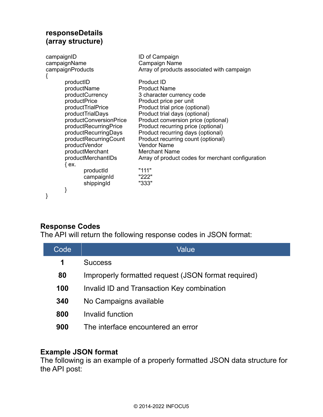### **responseDetails (array structure)**

| campaignID<br>campaignName<br>campaignProducts                                                                                                                                                                                                                                                                         | ID of Campaign<br>Campaign Name<br>Array of products associated with campaign                                                                                                                                                                                                                                                                                                                                                                     |
|------------------------------------------------------------------------------------------------------------------------------------------------------------------------------------------------------------------------------------------------------------------------------------------------------------------------|---------------------------------------------------------------------------------------------------------------------------------------------------------------------------------------------------------------------------------------------------------------------------------------------------------------------------------------------------------------------------------------------------------------------------------------------------|
| productID<br>productName<br>productCurrency<br>productPrice<br>productTrialPrice<br>productTrialDays<br>productConversionPrice<br>productRecurringPrice<br>productRecurringDays<br>productRecurringCount<br>productVendor<br>productMerchant<br>productMerchantIDs<br>${ex.}$<br>productid<br>campaignId<br>shippingId | Product ID<br><b>Product Name</b><br>3 character currency code<br>Product price per unit<br>Product trial price (optional)<br>Product trial days (optional)<br>Product conversion price (optional)<br>Product recurring price (optional)<br>Product recurring days (optional)<br>Product recurring count (optional)<br><b>Vendor Name</b><br><b>Merchant Name</b><br>Array of product codes for merchant configuration<br>"111"<br>"222"<br>"333" |
|                                                                                                                                                                                                                                                                                                                        |                                                                                                                                                                                                                                                                                                                                                                                                                                                   |

#### **Response Codes**

The API will return the following response codes in JSON format:

| Code | Value                                               |
|------|-----------------------------------------------------|
| 1    | <b>Success</b>                                      |
| 80   | Improperly formatted request (JSON format required) |
| 100  | Invalid ID and Transaction Key combination          |
| 340  | No Campaigns available                              |
| 800  | Invalid function                                    |
| 900  | The interface encountered an error                  |

## **Example JSON format**

The following is an example of a properly formatted JSON data structure for the API post: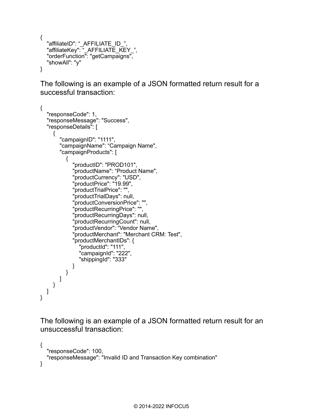```
{
  "affiliateID": " AFFILIATE ID ",
   "affiliateKey": "_AFFILIATE_KEY_",
   "orderFunction": "getCampaigns",
   "showAll": "y"
}
```
The following is an example of a JSON formatted return result for a successful transaction:

```
{
   "responseCode": 1,
   "responseMessage": "Success",
   "responseDetails": [
      {
        "campaignID": "1111",
        "campaignName": "Campaign Name",
         "campaignProducts": [
           {
              "productID": "PROD101",
              "productName": "Product Name",
              "productCurrency": "USD",
              "productPrice": "19.99",
              "productTrialPrice": "",
              "productTrialDays": null,
              "productConversionPrice": "",
              "productRecurringPrice": "",
              "productRecurringDays": null,
              "productRecurringCount": null,
              "productVendor": "Vendor Name",
              "productMerchant": "Merchant CRM: Test",
              "productMerchantIDs": {
                 "productId": "111",
                "campaignId": "222",
                "shippingId": "333"
             }
          }
       ]
     }
   ]
}
```

```
{
   "responseCode": 100,
   "responseMessage": "Invalid ID and Transaction Key combination"
}
```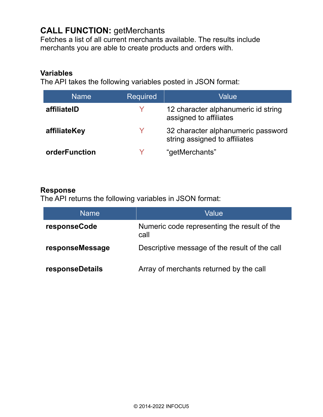## **CALL FUNCTION:** getMerchants

Fetches a list of all current merchants available. The results include merchants you are able to create products and orders with.

#### **Variables**

The API takes the following variables posted in JSON format:

| <b>Name</b>   | <b>Required</b> | Value                                                               |
|---------------|-----------------|---------------------------------------------------------------------|
| affiliateID   | Y               | 12 character alphanumeric id string<br>assigned to affiliates       |
| affiliateKey  | Y               | 32 character alphanumeric password<br>string assigned to affiliates |
| orderFunction |                 | "getMerchants"                                                      |

#### **Response**

| <b>Name</b>     | Value                                               |
|-----------------|-----------------------------------------------------|
| responseCode    | Numeric code representing the result of the<br>call |
| responseMessage | Descriptive message of the result of the call       |
| responseDetails | Array of merchants returned by the call             |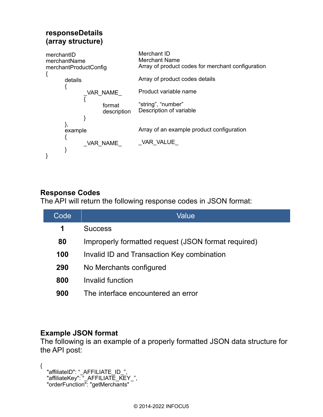### **responseDetails (array structure)**



### **Response Codes**

The API will return the following response codes in JSON format:

| Code | Value                                               |
|------|-----------------------------------------------------|
| 1    | <b>Success</b>                                      |
| 80   | Improperly formatted request (JSON format required) |
| 100  | Invalid ID and Transaction Key combination          |
| 290  | No Merchants configured                             |
| 800  | Invalid function                                    |
| 900  | The interface encountered an error                  |

#### **Example JSON format**

The following is an example of a properly formatted JSON data structure for the API post:

```
{
 "affiliateID": "_AFFILIATE_ID_",
 "affiliateKey": "_AFFILIATE_KEY_",
  "orderFunction": "getMerchants"
```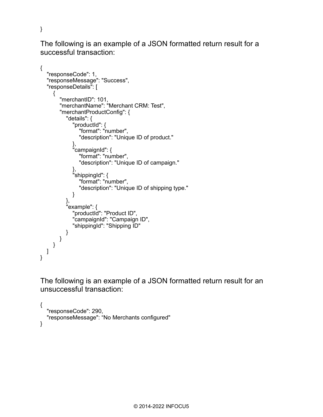The following is an example of a JSON formatted return result for a successful transaction:

```
{
   "responseCode": 1,
   "responseMessage": "Success",
   "responseDetails": [
     {
       "merchantID": 101,
       "merchantName": "Merchant CRM: Test",
       "merchantProductConfig": {
          "details": {
 "productId": {
 "format": "number",
              "description": "Unique ID of product."
 },
 "campaignId": {
              "format": "number",
              "description": "Unique ID of campaign."
 },
 "shippingId": {
              "format": "number",
              "description": "Unique ID of shipping type."
 }
 },
 "example": {
            "productId": "Product ID",
            "campaignId": "Campaign ID",
            "shippingId": "Shipping ID"
         }
      }
     }
  ]
}
```
}

```
{
   "responseCode": 290,
   "responseMessage": "No Merchants configured"
}
```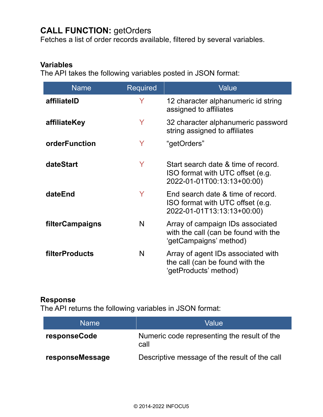## **CALL FUNCTION:** getOrders

Fetches a list of order records available, filtered by several variables.

### **Variables**

The API takes the following variables posted in JSON format:

| <b>Name</b>     | <b>Required</b> | Value                                                                                                 |
|-----------------|-----------------|-------------------------------------------------------------------------------------------------------|
| affiliatelD     | Y               | 12 character alphanumeric id string<br>assigned to affiliates                                         |
| affiliateKey    | Y               | 32 character alphanumeric password<br>string assigned to affiliates                                   |
| orderFunction   | Y               | "getOrders"                                                                                           |
| dateStart       | Y               | Start search date & time of record.<br>ISO format with UTC offset (e.g.<br>2022-01-01T00:13:13+00:00) |
| dateEnd         | Y               | End search date & time of record.<br>ISO format with UTC offset (e.g.<br>2022-01-01T13:13:13+00:00)   |
| filterCampaigns | N               | Array of campaign IDs associated<br>with the call (can be found with the<br>'getCampaigns' method)    |
| filterProducts  | N               | Array of agent IDs associated with<br>the call (can be found with the<br>'getProducts' method)        |

#### **Response**

| <b>Name</b>     | Value                                               |
|-----------------|-----------------------------------------------------|
| responseCode    | Numeric code representing the result of the<br>call |
| responseMessage | Descriptive message of the result of the call       |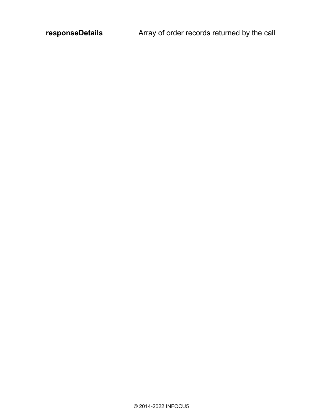responseDetails **Array of order records returned by the call**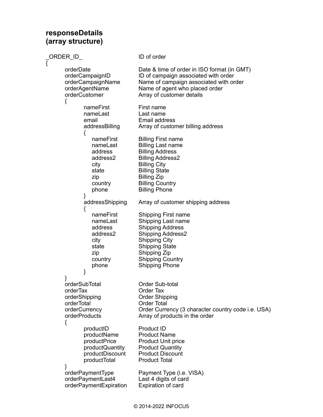#### **responseDetails (array structure)**

| ORDER ID                                                                                            | ID of order                                                                                                                                                                                                                       |
|-----------------------------------------------------------------------------------------------------|-----------------------------------------------------------------------------------------------------------------------------------------------------------------------------------------------------------------------------------|
| orderDate<br>orderCampaignID<br>orderCampaignName<br>orderAgentName<br>orderCustomer                | Date & time of order in ISO format (in GMT)<br>ID of campaign associated with order<br>Name of campaign associated with order<br>Name of agent who placed order<br>Array of customer details                                      |
| l<br>nameFirst<br>nameLast<br>email<br>addressBilling                                               | First name<br>Last name<br>Email address<br>Array of customer billing address                                                                                                                                                     |
| {<br>nameFirst<br>nameLast<br>address<br>address2<br>city<br>state<br>zip<br>country<br>phone       | <b>Billing First name</b><br><b>Billing Last name</b><br><b>Billing Address</b><br><b>Billing Address2</b><br><b>Billing City</b><br><b>Billing State</b><br><b>Billing Zip</b><br><b>Billing Country</b><br><b>Billing Phone</b> |
| }<br>addressShipping<br>{                                                                           | Array of customer shipping address                                                                                                                                                                                                |
| nameFirst<br>nameLast<br>address<br>address2<br>city<br>state<br>zip<br>country<br>phone<br>}       | <b>Shipping First name</b><br>Shipping Last name<br><b>Shipping Address</b><br><b>Shipping Address2</b><br><b>Shipping City</b><br><b>Shipping State</b><br>Shipping Zip<br><b>Shipping Country</b><br><b>Shipping Phone</b>      |
| orderSubTotal<br>orderTax<br>orderShipping<br>orderTotal<br>orderCurrency<br>orderProducts          | Order Sub-total<br>Order Tax<br><b>Order Shipping</b><br><b>Order Total</b><br>Order Currency (3 character country code i.e. USA)<br>Array of products in the order                                                               |
| l<br>productID<br>productName<br>productPrice<br>productQuantity<br>productDiscount<br>productTotal | Product ID<br><b>Product Name</b><br><b>Product Unit price</b><br><b>Product Quantity</b><br><b>Product Discount</b><br><b>Product Total</b>                                                                                      |
| }<br>orderPaymentType<br>orderPaymentLast4<br>orderPaymentExpiration                                | Payment Type (i.e. VISA)<br>Last 4 digits of card<br>Expiration of card                                                                                                                                                           |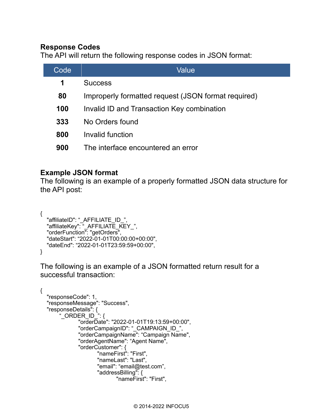#### **Response Codes**

The API will return the following response codes in JSON format:

| Code | Value                                               |
|------|-----------------------------------------------------|
| 1    | <b>Success</b>                                      |
| 80   | Improperly formatted request (JSON format required) |
| 100  | Invalid ID and Transaction Key combination          |
| 333  | No Orders found                                     |
| 800  | Invalid function                                    |
| 900  | The interface encountered an error                  |

### **Example JSON format**

The following is an example of a properly formatted JSON data structure for the API post:

```
{
   "affiliateID": "_AFFILIATE_ID_",
  "affiliateKey": "AFFILIATE_KEY",
   "orderFunction": "getOrders",
   "dateStart": "2022-01-01T00:00:00+00:00",
   "dateEnd": "2022-01-01T23:59:59+00:00",
}
```

```
{
   "responseCode": 1,
   "responseMessage": "Success",
   "responseDetails": {
       " ORDER ID'': "orderDate": "2022-01-01T19:13:59+00:00",
               "orderCampaignID": "_CAMPAIGN_ID_",
               "orderCampaignName": "Campaign Name",
               "orderAgentName": "Agent Name",
               "orderCustomer": {
                      "nameFirst": "First",
                      "nameLast": "Last",
                      "email": "email@test.com",
                      "addressBilling": {
                              "nameFirst": "First",
```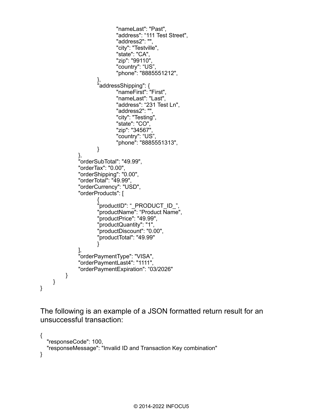```
 "nameLast": "Past",
                           "address": "111 Test Street",
                           "address2": "",
                           "city": "Testville",
                           "state": "CA",
                           "zip": "99110",
                           "country": "US",
                          "phone": "8885551212",
\},
 "addressShipping": {
 "nameFirst": "First",
                           "nameLast": "Last",
                           "address": "231 Test Ln",
                           "address2": "",
                           "city": "Testing",
                           "state": "CO",
                           "zip": "34567",
                           "country": "US",
                          "phone": "8885551313",
 }
 },
              "orderSubTotal": "49.99",
              "orderTax": "0.00",
              "orderShipping": "0.00",
              "orderTotal": "49.99",
              "orderCurrency": "USD",
              "orderProducts": [
\{ "productID": "_PRODUCT_ID_",
                     "productName": "Product Name",
                     "productPrice": "49.99",
                     "productQuantity": "1",
                     "productDiscount": "0.00",
                    "productTotal": "49.99"
 }
 ],
              "orderPaymentType": "VISA",
              "orderPaymentLast4": "1111",
              "orderPaymentExpiration": "03/2026"
         }
     }
}
```

```
{
   "responseCode": 100,
   "responseMessage": "Invalid ID and Transaction Key combination"
}
```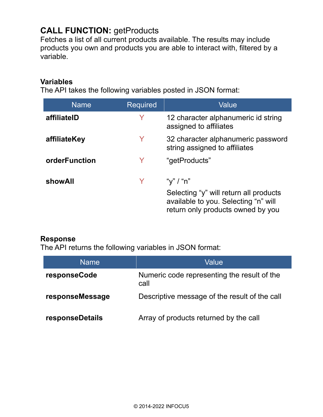# **CALL FUNCTION: getProducts**

Fetches a list of all current products available. The results may include products you own and products you are able to interact with, filtered by a variable.

#### **Variables**

The API takes the following variables posted in JSON format:

| <b>Name</b>   | <b>Required</b> | Value                                                                                                                            |
|---------------|-----------------|----------------------------------------------------------------------------------------------------------------------------------|
| affiliateID   |                 | 12 character alphanumeric id string<br>assigned to affiliates                                                                    |
| affiliateKey  | Y               | 32 character alphanumeric password<br>string assigned to affiliates                                                              |
| orderFunction | Y               | "getProducts"                                                                                                                    |
| showAll       |                 | "y" / "n"<br>Selecting "y" will return all products<br>available to you. Selecting "n" will<br>return only products owned by you |

#### **Response**

| <b>Name</b>     | Value                                               |
|-----------------|-----------------------------------------------------|
| responseCode    | Numeric code representing the result of the<br>call |
| responseMessage | Descriptive message of the result of the call       |
| responseDetails | Array of products returned by the call              |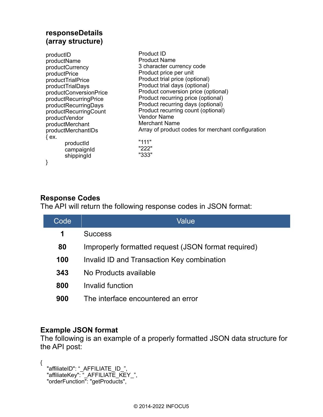### **responseDetails (array structure)**

| productID<br>productName<br>productCurrency<br>productPrice<br>productTrialPrice<br>productTrialDays<br>productConversionPrice<br>productRecurringPrice<br>productRecurringDays<br>productRecurringCount<br>productVendor<br>productMerchant<br>productMerchantIDs<br>$\{ ex.$ | <b>Product ID</b><br><b>Product Name</b><br>3 character currency code<br>Product price per unit<br>Product trial price (optional)<br>Product trial days (optional)<br>Product conversion price (optional)<br>Product recurring price (optional)<br>Product recurring days (optional)<br>Product recurring count (optional)<br><b>Vendor Name</b><br>Merchant Name<br>Array of product codes for merchant configuration |
|--------------------------------------------------------------------------------------------------------------------------------------------------------------------------------------------------------------------------------------------------------------------------------|------------------------------------------------------------------------------------------------------------------------------------------------------------------------------------------------------------------------------------------------------------------------------------------------------------------------------------------------------------------------------------------------------------------------|
| productid<br>campaignId<br>shippingId<br>}                                                                                                                                                                                                                                     | "111"<br>"222"<br>"333"                                                                                                                                                                                                                                                                                                                                                                                                |
|                                                                                                                                                                                                                                                                                |                                                                                                                                                                                                                                                                                                                                                                                                                        |

## **Response Codes**

The API will return the following response codes in JSON format:

| Code | Value                                               |
|------|-----------------------------------------------------|
| 1    | <b>Success</b>                                      |
| 80   | Improperly formatted request (JSON format required) |
| 100  | Invalid ID and Transaction Key combination          |
| 343  | No Products available                               |
| 800  | Invalid function                                    |
| 900  | The interface encountered an error                  |
|      |                                                     |

#### **Example JSON format**

The following is an example of a properly formatted JSON data structure for the API post:

```
{
 "affiliateID": "_AFFILIATE_ID_",
 "affiliateKey": "_AFFILIATE_KEY_",
 "orderFunction": "getProducts",
```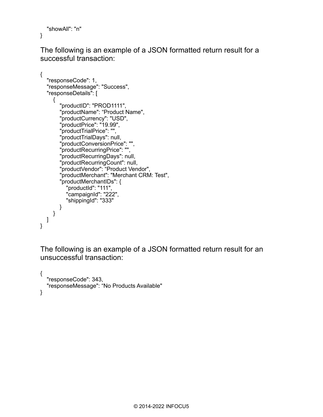```
 "showAll": "n"
}
```
The following is an example of a JSON formatted return result for a successful transaction:

```
{
   "responseCode": 1,
   "responseMessage": "Success",
   "responseDetails": [
     \{ "productID": "PROD1111",
        "productName": "Product Name",
        "productCurrency": "USD",
        "productPrice": "19.99",
        "productTrialPrice": "",
        "productTrialDays": null,
        "productConversionPrice": "",
        "productRecurringPrice": "",
        "productRecurringDays": null,
        "productRecurringCount": null,
        "productVendor": "Product Vendor",
        "productMerchant": "Merchant CRM: Test",
        "productMerchantIDs": {
 "productId": "111",
 "campaignId": "222",
           "shippingId": "333"
        }
     }
   ]
}
```

```
{
   "responseCode": 343,
   "responseMessage": "No Products Available"
}
```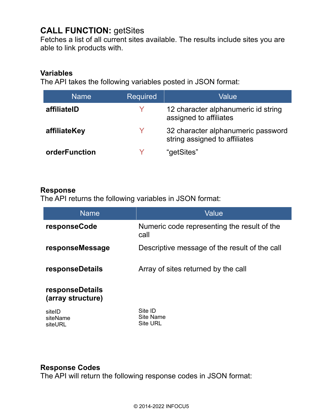## **CALL FUNCTION:** getSites

Fetches a list of all current sites available. The results include sites you are able to link products with.

#### **Variables**

The API takes the following variables posted in JSON format:

| <b>Name</b>   | <b>Required</b> | Value                                                               |
|---------------|-----------------|---------------------------------------------------------------------|
| affiliateID   |                 | 12 character alphanumeric id string<br>assigned to affiliates       |
| affiliateKey  | V               | 32 character alphanumeric password<br>string assigned to affiliates |
| orderFunction |                 | "getSites"                                                          |

#### **Response**

The API returns the following variables in JSON format:

| <b>Name</b>                                 | Value                                               |  |
|---------------------------------------------|-----------------------------------------------------|--|
| responseCode                                | Numeric code representing the result of the<br>call |  |
| responseMessage                             | Descriptive message of the result of the call       |  |
| <b>responseDetails</b>                      | Array of sites returned by the call                 |  |
| <b>responseDetails</b><br>(array structure) |                                                     |  |
| sitelD<br>siteName<br>siteURL               | Site ID<br>Site Name<br><b>Site URL</b>             |  |

## **Response Codes**

The API will return the following response codes in JSON format: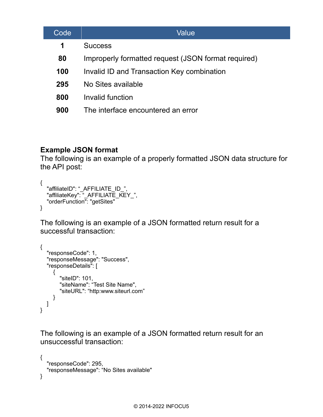| Code | Value                                               |
|------|-----------------------------------------------------|
| 1    | <b>Success</b>                                      |
| 80   | Improperly formatted request (JSON format required) |
| 100  | Invalid ID and Transaction Key combination          |
| 295  | No Sites available                                  |
| 800  | Invalid function                                    |
| 900  | The interface encountered an error                  |

## **Example JSON format**

The following is an example of a properly formatted JSON data structure for the API post:

```
{
 "affiliateID": "_AFFILIATE_ID_",
 "affiliateKey": "_AFFILIATE_KEY_",
   "orderFunction": "getSites"
}
```
The following is an example of a JSON formatted return result for a successful transaction:

```
{
   "responseCode": 1,
   "responseMessage": "Success",
   "responseDetails": [
      {
        "siteID": 101,
        "siteName": "Test Site Name",
        "siteURL": "http:www.siteurl.com"
      }
   ]
}
```

```
{
   "responseCode": 295,
   "responseMessage": "No Sites available"
}
```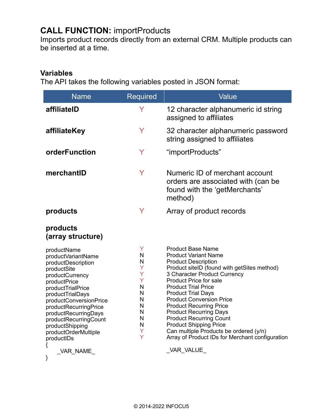# **CALL FUNCTION:** importProducts

Imports product records directly from an external CRM. Multiple products can be inserted at a time.

#### **Variables**

The API takes the following variables posted in JSON format:

| <b>Name</b>                                                                                                                                                                                                                                                                                                          | Required                                                                | Value                                                                                                                                                                                                                                                                                                                                                                                                                                                                                                                                  |
|----------------------------------------------------------------------------------------------------------------------------------------------------------------------------------------------------------------------------------------------------------------------------------------------------------------------|-------------------------------------------------------------------------|----------------------------------------------------------------------------------------------------------------------------------------------------------------------------------------------------------------------------------------------------------------------------------------------------------------------------------------------------------------------------------------------------------------------------------------------------------------------------------------------------------------------------------------|
| affiliateID                                                                                                                                                                                                                                                                                                          | Y                                                                       | 12 character alphanumeric id string<br>assigned to affiliates                                                                                                                                                                                                                                                                                                                                                                                                                                                                          |
| affiliateKey                                                                                                                                                                                                                                                                                                         | Y                                                                       | 32 character alphanumeric password<br>string assigned to affiliates                                                                                                                                                                                                                                                                                                                                                                                                                                                                    |
| orderFunction                                                                                                                                                                                                                                                                                                        | Y                                                                       | "importProducts"                                                                                                                                                                                                                                                                                                                                                                                                                                                                                                                       |
| merchantID                                                                                                                                                                                                                                                                                                           | Y                                                                       | Numeric ID of merchant account<br>orders are associated with (can be<br>found with the 'getMerchants'<br>method)                                                                                                                                                                                                                                                                                                                                                                                                                       |
| products                                                                                                                                                                                                                                                                                                             | Y                                                                       | Array of product records                                                                                                                                                                                                                                                                                                                                                                                                                                                                                                               |
| products<br>(array structure)                                                                                                                                                                                                                                                                                        |                                                                         |                                                                                                                                                                                                                                                                                                                                                                                                                                                                                                                                        |
| productName<br>productVariantName<br>productDescription<br>productSite<br>productCurrency<br>productPrice<br>productTrialPrice<br>productTrialDays<br>productConversionPrice<br>productRecurringPrice<br>productRecurringDays<br>productRecurringCount<br>productShipping<br>productOrderMultiple<br>productIDs<br>{ | Y<br>N<br>N<br>Ÿ<br>Y<br>Ÿ<br>N<br>N<br>N<br>N<br>N<br>N<br>N<br>Y<br>Ÿ | <b>Product Base Name</b><br><b>Product Variant Name</b><br><b>Product Description</b><br>Product siteID (found with getSites method)<br>3 Character Product Currency<br><b>Product Price for sale</b><br><b>Product Trial Price</b><br><b>Product Trial Days</b><br><b>Product Conversion Price</b><br><b>Product Recurring Price</b><br><b>Product Recurring Days</b><br><b>Product Recurring Count</b><br><b>Product Shipping Price</b><br>Can multiple Products be ordered (y/n)<br>Array of Product IDs for Merchant configuration |
| _VAR_NAME_<br>}                                                                                                                                                                                                                                                                                                      |                                                                         | _VAR_VALUE_                                                                                                                                                                                                                                                                                                                                                                                                                                                                                                                            |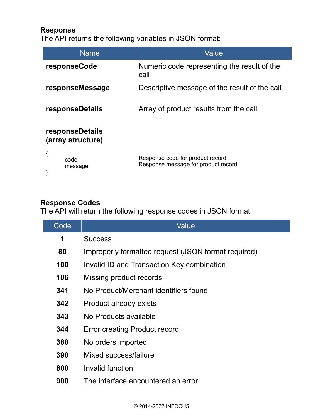#### **Response**

The API returns the following variables in JSON format:

| <b>Name</b>                          | Value                                                                   |
|--------------------------------------|-------------------------------------------------------------------------|
| responseCode                         | Numeric code representing the result of the<br>call                     |
| responseMessage                      | Descriptive message of the result of the call                           |
| responseDetails                      | Array of product results from the call                                  |
| responseDetails<br>(array structure) |                                                                         |
| {<br>code<br>message                 | Response code for product record<br>Response message for product record |

#### **Response Codes**

The API will return the following response codes in JSON format:

| Code | Value                                               |
|------|-----------------------------------------------------|
| 1    | <b>Success</b>                                      |
| 80   | Improperly formatted request (JSON format required) |
| 100  | Invalid ID and Transaction Key combination          |
| 106  | Missing product records                             |
| 341  | No Product/Merchant identifiers found               |
| 342  | Product already exists                              |
| 343  | No Products available                               |
| 344  | <b>Error creating Product record</b>                |
| 380  | No orders imported                                  |
| 390  | Mixed success/failure                               |
| 800  | Invalid function                                    |
| 900  | The interface encountered an error                  |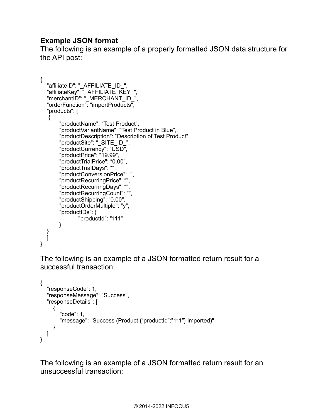## **Example JSON format**

The following is an example of a properly formatted JSON data structure for the API post:

```
{
 "affiliateID": "_AFFILIATE_ID_",
 "affiliateKey": "_AFFILIATE_KEY_",
  "merchantID": " MERCHANT_ID
   "orderFunction": "importProducts",
   "products": [
\{ "productName": "Test Product",
       "productVariantName": "Test Product in Blue",
       "productDescription": "Description of Test Product",
       "productSite": "_SITE_ID_",
       "productCurrency": "USD",
       "productPrice": "19.99",
       "productTrialPrice": "0.00",
       "productTrialDays": "",
       "productConversionPrice": "",
       "productRecurringPrice": "",
       "productRecurringDays": "",
       "productRecurringCount": "",
       "productShipping": "0.00",
       "productOrderMultiple": "y",
       "productIDs": {
               "productId": "111"
       }
   }
   ]
}
```
The following is an example of a JSON formatted return result for a successful transaction:

```
{
    "responseCode": 1,
    "responseMessage": "Success",
    "responseDetails": [
      \mathcal{L}_{\mathcal{L}} "code": 1,
          "message": "Success (Product {"productId":"111"} imported)"
       }
   ]
}
```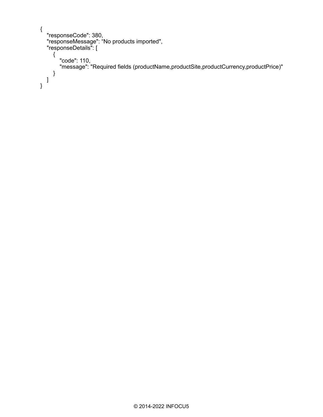```
{
 "responseCode": 380,
 "responseMessage": "No products imported",
 "responseDetails": [
    \{ "code": 110,
 "message": "Required fields (productName,productSite,productCurrency,productPrice)"
 }
 ]
}
```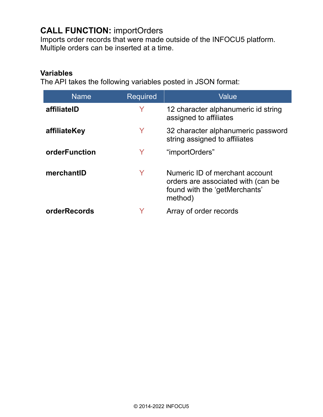# **CALL FUNCTION:** importOrders

Imports order records that were made outside of the INFOCU5 platform. Multiple orders can be inserted at a time.

#### **Variables**

The API takes the following variables posted in JSON format:

| <b>Name</b>   | <b>Required</b> | Value                                                                                                            |
|---------------|-----------------|------------------------------------------------------------------------------------------------------------------|
| affiliateID   | Y               | 12 character alphanumeric id string<br>assigned to affiliates                                                    |
| affiliateKey  | Y               | 32 character alphanumeric password<br>string assigned to affiliates                                              |
| orderFunction | Y               | "importOrders"                                                                                                   |
| merchantID    | Y               | Numeric ID of merchant account<br>orders are associated with (can be<br>found with the 'getMerchants'<br>method) |
| orderRecords  |                 | Array of order records                                                                                           |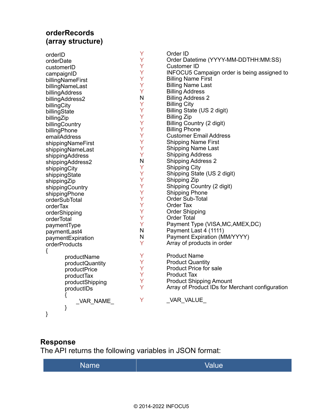## **orderRecords (array structure)**

| orderID           | Y | Order ID                                           |
|-------------------|---|----------------------------------------------------|
| orderDate         | Ÿ | Order Datetime (YYYY-MM-DDTHH:MM:SS)               |
| customerID        | Y | <b>Customer ID</b>                                 |
| campaignID        | Y | <b>INFOCU5 Campaign order is being assigned to</b> |
| billingNameFirst  | Y | <b>Billing Name First</b>                          |
| billingNameLast   | Ÿ | <b>Billing Name Last</b>                           |
| billingAddress    | Y | <b>Billing Address</b>                             |
| billingAddress2   | N | <b>Billing Address 2</b>                           |
| billingCity       | Y | <b>Billing City</b>                                |
| billingState      | Ÿ | Billing State (US 2 digit)                         |
| billingZip        | Ÿ | <b>Billing Zip</b>                                 |
| billingCountry    | Y | Billing Country (2 digit)                          |
| billingPhone      | Ÿ | <b>Billing Phone</b>                               |
| emailAddress      | Y | <b>Customer Email Address</b>                      |
| shippingNameFirst | Ÿ | <b>Shipping Name First</b>                         |
| shippingNameLast  | Y | <b>Shipping Name Last</b>                          |
| shippingAddress   | Y | <b>Shipping Address</b>                            |
| shippingAddress2  | N | <b>Shipping Address 2</b>                          |
| shippingCity      | Y | <b>Shipping City</b>                               |
| shippingState     | Y | Shipping State (US 2 digit)                        |
| shippingZip       | Y | Shipping Zip                                       |
| shippingCountry   | Y | Shipping Country (2 digit)                         |
| shippingPhone     | Ÿ | <b>Shipping Phone</b>                              |
| orderSubTotal     | Y | Order Sub-Total                                    |
| orderTax          | Y | Order Tax                                          |
| orderShipping     | Y | <b>Order Shipping</b>                              |
| orderTotal        | Y | <b>Order Total</b>                                 |
| paymentType       | Ÿ | Payment Type (VISA, MC, AMEX, DC)                  |
| paymentLast4      | N | Payment Last 4 (1111)                              |
| paymentExpiration | N | Payment Expiration (MM/YYYY)                       |
| orderProducts     | Y | Array of products in order                         |
| {                 |   |                                                    |
| productName       | Y | <b>Product Name</b>                                |
| productQuantity   | Y | <b>Product Quantity</b>                            |
| productPrice      | Y | <b>Product Price for sale</b>                      |
| productTax        | Y | <b>Product Tax</b>                                 |
| productShipping   | Ÿ | <b>Product Shipping Amount</b>                     |
| productIDs        | Y | Array of Product IDs for Merchant configuration    |
| ₹                 |   |                                                    |
| VAR NAME          | Υ | _VAR_VALUE_                                        |
| }                 |   |                                                    |
| }                 |   |                                                    |

## **Response**

| Value<br><b>Name</b> |
|----------------------|
|----------------------|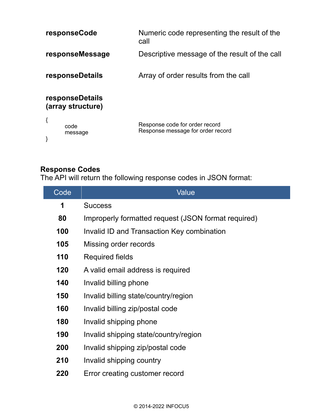|                                      | responseCode    | Numeric code representing the result of the<br>call                 |
|--------------------------------------|-----------------|---------------------------------------------------------------------|
|                                      | responseMessage | Descriptive message of the result of the call                       |
|                                      | responseDetails | Array of order results from the call                                |
| responseDetails<br>(array structure) |                 |                                                                     |
| {                                    | code<br>message | Response code for order record<br>Response message for order record |

### **Response Codes**

The API will return the following response codes in JSON format:

| Code | Value                                               |  |
|------|-----------------------------------------------------|--|
| 1    | <b>Success</b>                                      |  |
| 80   | Improperly formatted request (JSON format required) |  |
| 100  | Invalid ID and Transaction Key combination          |  |
| 105  | Missing order records                               |  |
| 110  | <b>Required fields</b>                              |  |
| 120  | A valid email address is required                   |  |
| 140  | Invalid billing phone                               |  |
| 150  | Invalid billing state/country/region                |  |
| 160  | Invalid billing zip/postal code                     |  |
| 180  | Invalid shipping phone                              |  |
| 190  | Invalid shipping state/country/region               |  |
| 200  | Invalid shipping zip/postal code                    |  |
| 210  | Invalid shipping country                            |  |
| 220  | Error creating customer record                      |  |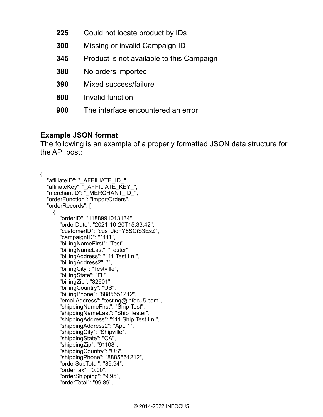- **225** Could not locate product by IDs
- **300** Missing or invalid Campaign ID
- **345** Product is not available to this Campaign
- **380** No orders imported
- **390** Mixed success/failure
- **800** Invalid function
- **900** The interface encountered an error

### **Example JSON format**

{

The following is an example of a properly formatted JSON data structure for the API post:

```
 "affiliateID": "_AFFILIATE_ID_",
  "affiliateKey": "_AFFILIATE_KEY_",
  "merchantID": "_MERCHANT_ID_",
   "orderFunction": "importOrders",
   "orderRecords": [
    \{ "orderID": "1188991013134",
        "orderDate": "2021-10-20T15:33:42",
        "customerID": "cus_JiohY6SCiS3EsZ",
        "campaignID": "1111",
        "billingNameFirst": "Test",
        "billingNameLast": "Tester",
        "billingAddress": "111 Test Ln.",
        "billingAddress2": "",
 "billingCity": "Testville",
 "billingState": "FL",
        "billingZip": "32601",
        "billingCountry": "US",
        "billingPhone": "8885551212",
        "emailAddress": "testing@infocu5.com",
        "shippingNameFirst": "Ship Test",
        "shippingNameLast": "Ship Tester",
        "shippingAddress": "111 Ship Test Ln.",
        "shippingAddress2": "Apt. 1",
        "shippingCity": "Shipville",
        "shippingState": "CA",
        "shippingZip": "91108",
        "shippingCountry": "US",
        "shippingPhone": "8885551212",
        "orderSubTotal": "89.94",
        "orderTax": "0.00",
        "orderShipping": "9.95",
        "orderTotal": "99.89",
```